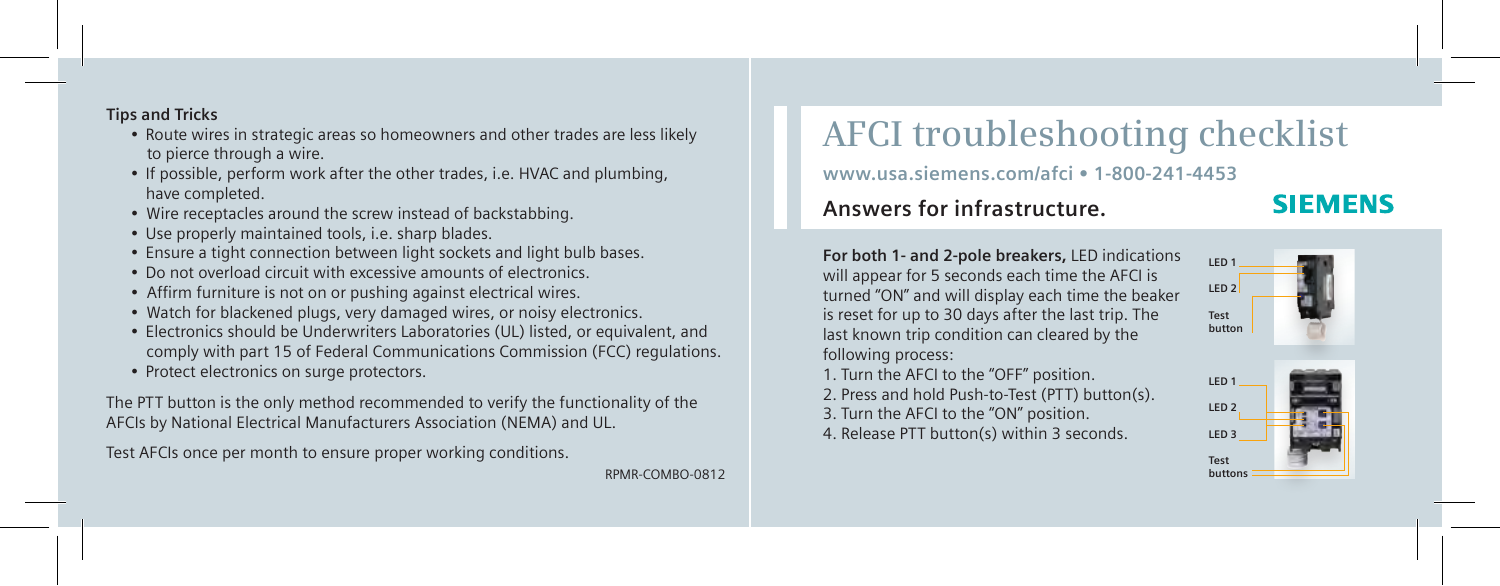**Tips and Tricks**

- Route wires in strategic areas so homeowners and other trades are less likely to pierce through a wire.
- If possible, perform work after the other trades, i.e. HVAC and plumbing, have completed.
- Wire receptacles around the screw instead of backstabbing.
- Use properly maintained tools, i.e. sharp blades.
- Ensure a tight connection between light sockets and light bulb bases.
- Do not overload circuit with excessive amounts of electronics.
- Affirm furniture is not on or pushing against electrical wires.
- Watch for blackened plugs, very damaged wires, or noisy electronics.
- Electronics should be Underwriters Laboratories (UL) listed, or equivalent, and comply with part 15 of Federal Communications Commission (FCC) regulations.
- Protect electronics on surge protectors.

The PTT button is the only method recommended to verify the functionality of the AFCIs by National Electrical Manufacturers Association (NEMA) and UL.

Test AFCIs once per month to ensure proper working conditions.

RPMR-COMBO-0812

## **AFCI troubleshooting checklist**

**www.usa.siemens.com/afci • 1-800-241-4453**

## **Answers for infrastructure.**

## **SIEMENS**

**For both 1- and 2-pole breakers,** LED indications will appear for 5 seconds each time the AFCI is turned "ON" and will display each time the beaker is reset for up to 30 days after the last trip. The last known trip condition can cleared by the following process:

1. Turn the AFCI to the "OFF" position.

- 2. Press and hold Push-to-Test (PTT) button(s). 3. Turn the AFCI to the "ON" position.
- 4. Release PTT button(s) within 3 seconds.